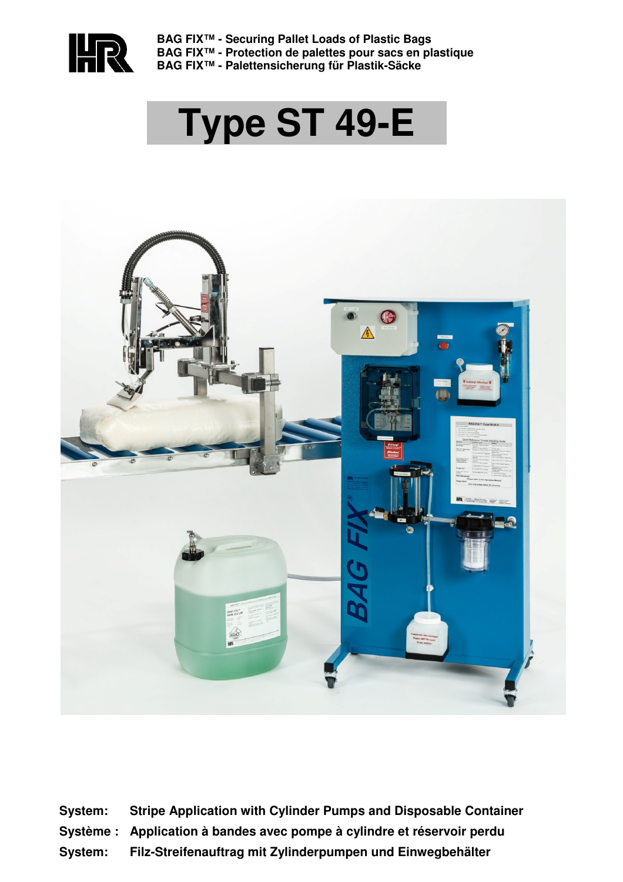

**BAG FIX™ - Securing Pallet Loads of Plastic Bags BAG FIX™ - Protection de palettes pour sacs en plastique BAG FIX™ - Palettensicherung für Plastik-Säcke** 

# **Type ST 49-E**



**System: Stripe Application with Cylinder Pumps and Disposable Container Système : Application à bandes avec pompe à cylindre et réservoir perdu System: Filz-Streifenauftrag mit Zylinderpumpen und Einwegbehälter**